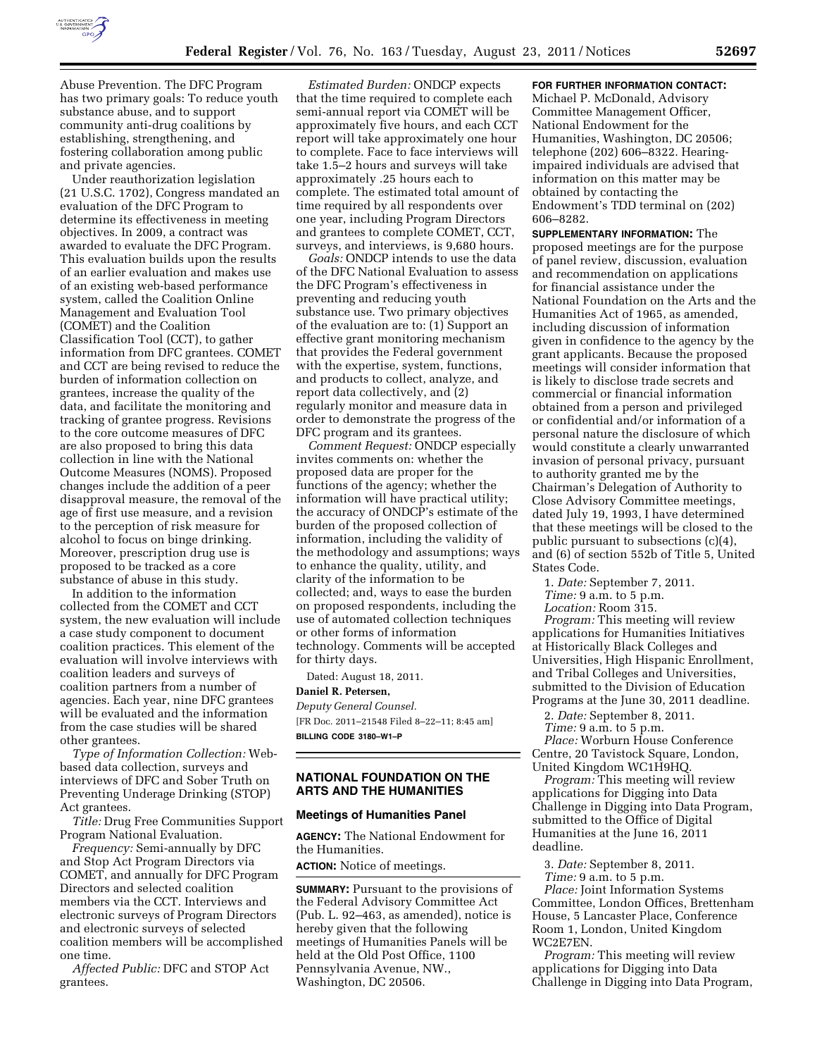

Abuse Prevention. The DFC Program has two primary goals: To reduce youth substance abuse, and to support community anti-drug coalitions by establishing, strengthening, and fostering collaboration among public and private agencies.

Under reauthorization legislation (21 U.S.C. 1702), Congress mandated an evaluation of the DFC Program to determine its effectiveness in meeting objectives. In 2009, a contract was awarded to evaluate the DFC Program. This evaluation builds upon the results of an earlier evaluation and makes use of an existing web-based performance system, called the Coalition Online Management and Evaluation Tool (COMET) and the Coalition Classification Tool (CCT), to gather information from DFC grantees. COMET and CCT are being revised to reduce the burden of information collection on grantees, increase the quality of the data, and facilitate the monitoring and tracking of grantee progress. Revisions to the core outcome measures of DFC are also proposed to bring this data collection in line with the National Outcome Measures (NOMS). Proposed changes include the addition of a peer disapproval measure, the removal of the age of first use measure, and a revision to the perception of risk measure for alcohol to focus on binge drinking. Moreover, prescription drug use is proposed to be tracked as a core substance of abuse in this study.

In addition to the information collected from the COMET and CCT system, the new evaluation will include a case study component to document coalition practices. This element of the evaluation will involve interviews with coalition leaders and surveys of coalition partners from a number of agencies. Each year, nine DFC grantees will be evaluated and the information from the case studies will be shared other grantees.

*Type of Information Collection:* Webbased data collection, surveys and interviews of DFC and Sober Truth on Preventing Underage Drinking (STOP) Act grantees.

*Title:* Drug Free Communities Support Program National Evaluation.

*Frequency:* Semi-annually by DFC and Stop Act Program Directors via COMET, and annually for DFC Program Directors and selected coalition members via the CCT. Interviews and electronic surveys of Program Directors and electronic surveys of selected coalition members will be accomplished one time.

*Affected Public:* DFC and STOP Act grantees.

*Estimated Burden:* ONDCP expects that the time required to complete each semi-annual report via COMET will be approximately five hours, and each CCT report will take approximately one hour to complete. Face to face interviews will take 1.5–2 hours and surveys will take approximately .25 hours each to complete. The estimated total amount of time required by all respondents over one year, including Program Directors and grantees to complete COMET, CCT, surveys, and interviews, is 9,680 hours.

*Goals:* ONDCP intends to use the data of the DFC National Evaluation to assess the DFC Program's effectiveness in preventing and reducing youth substance use. Two primary objectives of the evaluation are to: (1) Support an effective grant monitoring mechanism that provides the Federal government with the expertise, system, functions, and products to collect, analyze, and report data collectively, and (2) regularly monitor and measure data in order to demonstrate the progress of the DFC program and its grantees.

*Comment Request:* ONDCP especially invites comments on: whether the proposed data are proper for the functions of the agency; whether the information will have practical utility; the accuracy of ONDCP's estimate of the burden of the proposed collection of information, including the validity of the methodology and assumptions; ways to enhance the quality, utility, and clarity of the information to be collected; and, ways to ease the burden on proposed respondents, including the use of automated collection techniques or other forms of information technology. Comments will be accepted for thirty days.

Dated: August 18, 2011.

#### **Daniel R. Petersen,**

*Deputy General Counsel.*  [FR Doc. 2011–21548 Filed 8–22–11; 8:45 am] **BILLING CODE 3180–W1–P** 

## **NATIONAL FOUNDATION ON THE ARTS AND THE HUMANITIES**

### **Meetings of Humanities Panel**

**AGENCY:** The National Endowment for the Humanities.

**ACTION:** Notice of meetings.

**SUMMARY:** Pursuant to the provisions of the Federal Advisory Committee Act (Pub. L. 92–463, as amended), notice is hereby given that the following meetings of Humanities Panels will be held at the Old Post Office, 1100 Pennsylvania Avenue, NW., Washington, DC 20506.

#### **FOR FURTHER INFORMATION CONTACT:**

Michael P. McDonald, Advisory Committee Management Officer, National Endowment for the Humanities, Washington, DC 20506; telephone (202) 606–8322. Hearingimpaired individuals are advised that information on this matter may be obtained by contacting the Endowment's TDD terminal on (202) 606–8282.

**SUPPLEMENTARY INFORMATION:** The proposed meetings are for the purpose of panel review, discussion, evaluation and recommendation on applications for financial assistance under the National Foundation on the Arts and the Humanities Act of 1965, as amended, including discussion of information given in confidence to the agency by the grant applicants. Because the proposed meetings will consider information that is likely to disclose trade secrets and commercial or financial information obtained from a person and privileged or confidential and/or information of a personal nature the disclosure of which would constitute a clearly unwarranted invasion of personal privacy, pursuant to authority granted me by the Chairman's Delegation of Authority to Close Advisory Committee meetings, dated July 19, 1993, I have determined that these meetings will be closed to the public pursuant to subsections (c)(4), and (6) of section 552b of Title 5, United States Code.

1. *Date:* September 7, 2011.

*Time:* 9 a.m. to 5 p.m.

*Location:* Room 315. *Program:* This meeting will review applications for Humanities Initiatives at Historically Black Colleges and Universities, High Hispanic Enrollment, and Tribal Colleges and Universities, submitted to the Division of Education Programs at the June 30, 2011 deadline.

2. *Date:* September 8, 2011.

*Time:* 9 a.m. to 5 p.m. *Place:* Worburn House Conference Centre, 20 Tavistock Square, London, United Kingdom WC1H9HQ.

*Program:* This meeting will review applications for Digging into Data Challenge in Digging into Data Program, submitted to the Office of Digital Humanities at the June 16, 2011 deadline.

3. *Date:* September 8, 2011. *Time:* 9 a.m. to 5 p.m.

*Place:* Joint Information Systems Committee, London Offices, Brettenham House, 5 Lancaster Place, Conference Room 1, London, United Kingdom WC2E7EN.

*Program:* This meeting will review applications for Digging into Data Challenge in Digging into Data Program,